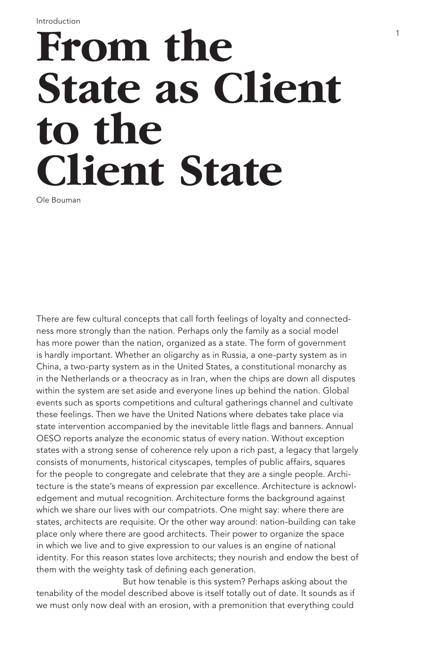## **From the State as Client to the Client State**

Ole Bouman

There are few cultural concepts that call forth feelings of loyalty and connectedness more strongly than the nation. Perhaps only the family as a social model has more power than the nation, organized as a state. The form of government is hardly important. Whether an oligarchy as in Russia, a one-party system as in China, a two-party system as in the United States, a constitutional monarchy as in the Netherlands or a theocracy as in Iran, when the chips are down all disputes within the system are set aside and everyone lines up behind the nation. Global events such as sports competitions and cultural gatherings channel and cultivate these feelings. Then we have the United Nations where debates take place via state intervention accompanied by the inevitable little flags and banners. Annual OESO reports analyze the economic status of every nation. Without exception states with a strong sense of coherence rely upon a rich past, a legacy that largely consists of monuments, historical cityscapes, temples of public affairs, squares for the people to congregate and celebrate that they are a single people. Architecture is the state's means of expression par excellence. Architecture is acknowledgement and mutual recognition. Architecture forms the background against which we share our lives with our compatriots. One might say: where there are states, architects are requisite. Or the other way around: nation-building can take place only where there are good architects. Their power to organize the space in which we live and to give expression to our values is an engine of national identity. For this reason states love architects; they nourish and endow the best of them with the weighty task of defining each generation.

But how tenable is this system? Perhaps asking about the tenability of the model described above is itself totally out of date. It sounds as if we must only now deal with an erosion, with a premonition that everything could